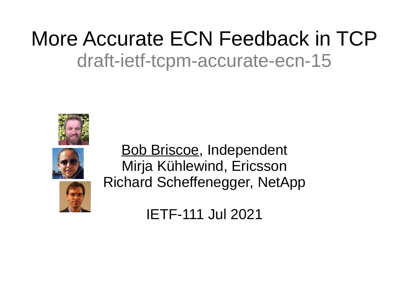#### More Accurate ECN Feedback in TCP draft-ietf-tcpm-accurate-ecn-15





Bob Briscoe, Independent Mirja Kühlewind, Ericsson Richard Scheffenegger, NetApp

IETF-111 Jul 2021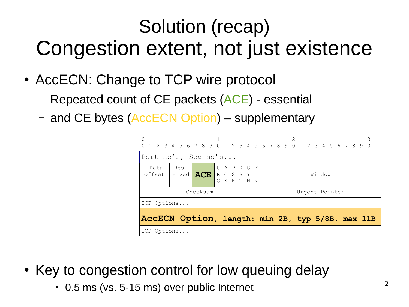#### Solution (recap) Congestion extent, not just existence

- AccECN: Change to TCP wire protocol
	- Repeated count of CE packets (ACE) essential
	- and CE bytes (AccECN Option) supplementary

| 0                                                                                                                                                                          |             | 1 2 3 4 5 6 7 8 9 0 1 2 3 4 5 6 7 8 9 0 1 2 3 4 5 6 7 8 9 0 1 |  |  |  |  |  |  |  |  |  |  |  |  |                |  |  |  |  |
|----------------------------------------------------------------------------------------------------------------------------------------------------------------------------|-------------|---------------------------------------------------------------|--|--|--|--|--|--|--|--|--|--|--|--|----------------|--|--|--|--|
| Port no's, Seq no's                                                                                                                                                        |             |                                                               |  |  |  |  |  |  |  |  |  |  |  |  |                |  |  |  |  |
| S<br>F<br>  Res-<br>U<br>P<br>A<br> R <br>Data<br>$\vert$ C $\vert$<br>$\mathbbm{I}$<br>S[S Y]<br>Offset   erved   ACE  <br>R<br>Window<br>H[T N]<br>$\mathbf N$<br>K<br>G |             |                                                               |  |  |  |  |  |  |  |  |  |  |  |  |                |  |  |  |  |
|                                                                                                                                                                            |             | Checksum                                                      |  |  |  |  |  |  |  |  |  |  |  |  | Urgent Pointer |  |  |  |  |
|                                                                                                                                                                            | TCP Options |                                                               |  |  |  |  |  |  |  |  |  |  |  |  |                |  |  |  |  |
| AccECN Option, length: min 2B, typ 5/8B, max 11B                                                                                                                           |             |                                                               |  |  |  |  |  |  |  |  |  |  |  |  |                |  |  |  |  |
| TCP Options                                                                                                                                                                |             |                                                               |  |  |  |  |  |  |  |  |  |  |  |  |                |  |  |  |  |

- Key to congestion control for low queuing delay
	- 0.5 ms (vs. 5-15 ms) over public Internet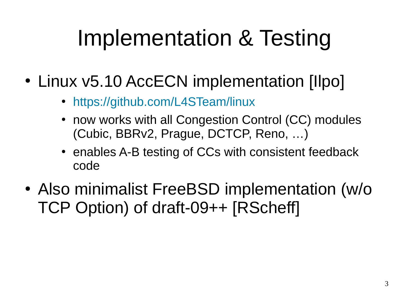# Implementation & Testing

- Linux v5.10 AccECN implementation [Ilpo]
	- <https://github.com/L4STeam/linux>
	- now works with all Congestion Control (CC) modules (Cubic, BBRv2, Prague, DCTCP, Reno, …)
	- enables A-B testing of CCs with consistent feedback code
- Also minimalist FreeBSD implementation (w/o TCP Option) of draft-09++ [RScheff]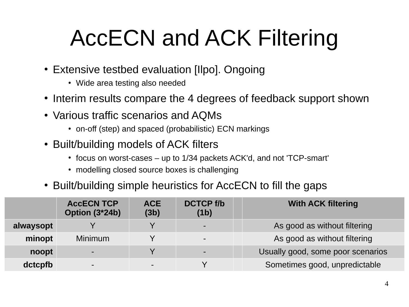# AccECN and ACK Filtering

- Extensive testbed evaluation [Ilpo]. Ongoing
	- Wide area testing also needed
- Interim results compare the 4 degrees of feedback support shown
- Various traffic scenarios and AQMs
	- on-off (step) and spaced (probabilistic) ECN markings
- Built/building models of ACK filters
	- $\cdot$  focus on worst-cases up to 1/34 packets ACK'd, and not 'TCP-smart'
	- modelling closed source boxes is challenging
- Built/building simple heuristics for AccECN to fill the gaps

|           | <b>ACCECN TCP</b><br>Option (3*24b) | <b>ACE</b><br>(3b) | <b>DCTCP f/b</b><br>(1b) | <b>With ACK filtering</b>         |
|-----------|-------------------------------------|--------------------|--------------------------|-----------------------------------|
| alwaysopt |                                     |                    | $\blacksquare$           | As good as without filtering      |
| minopt    | <b>Minimum</b>                      |                    | $\blacksquare$           | As good as without filtering      |
| noopt     | $\blacksquare$                      |                    | $\sim$                   | Usually good, some poor scenarios |
| dctcpfb   | $\blacksquare$                      |                    |                          | Sometimes good, unpredictable     |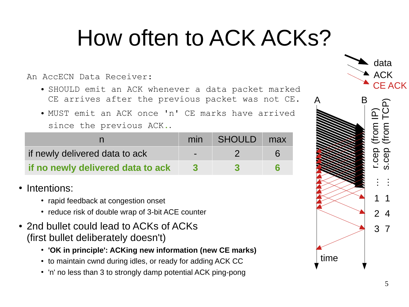### How often to ACK ACKs?

An AccECN Data Receiver:

- SHOULD emit an ACK whenever a data packet marked CE arrives after the previous packet was not CE.
- MUST emit an ACK once 'n' CE marks have arrived since the previous ACK**.**.

|                                   |                          | min SHOULD | max |
|-----------------------------------|--------------------------|------------|-----|
| if newly delivered data to ack    | $\overline{\phantom{0}}$ |            |     |
| if no newly delivered data to ack |                          |            |     |

- Intentions:
	- rapid feedback at congestion onset
	- reduce risk of double wrap of 3-bit ACE counter
- 2nd bullet could lead to ACKs of ACKs (first bullet deliberately doesn't)
	- 'OK in principle': ACKing new information (new CE marks)
	- to maintain cwnd during idles, or ready for adding ACK CC
	- 'n' no less than 3 to strongly damp potential ACK ping-pong

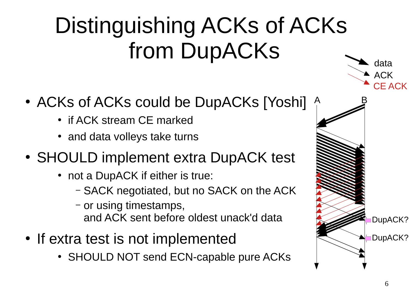## Distinguishing ACKs of ACKs from DupACKs

- ACKs of ACKs could be DupACKs [Yoshi]
	- if ACK stream CE marked
	- and data volleys take turns
- SHOULD implement extra DupACK test
	- not a DupACK if either is true:
		- SACK negotiated, but no SACK on the ACK
		- or using timestamps, and ACK sent before oldest unack'd data
- If extra test is not implemented
	- SHOULD NOT send ECN-capable pure ACKs

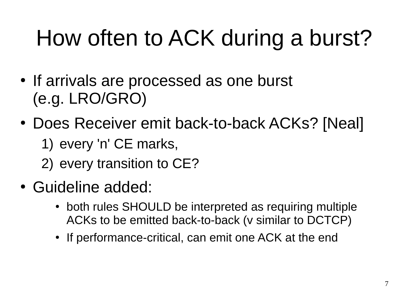# How often to ACK during a burst?

- If arrivals are processed as one burst (e.g. LRO/GRO)
- Does Receiver emit back-to-back ACKs? [Neal]
	- 1) every 'n' CE marks,
	- 2) every transition to CE?
- Guideline added:
	- both rules SHOULD be interpreted as requiring multiple ACKs to be emitted back-to-back (v similar to DCTCP)
	- If performance-critical, can emit one ACK at the end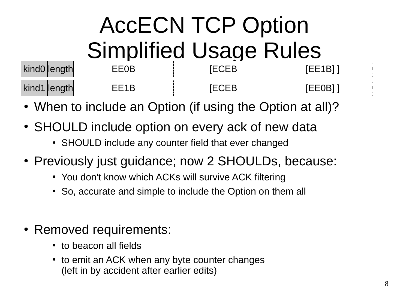## AccECN TCP Option Simplified Usage Rules

| IVIIIWV           | ໋<br>.    | --------------------- |            |
|-------------------|-----------|-----------------------|------------|
| $ N $ $\mu$ $\mu$ | --------- | ーー                    | $\sim$ $-$ |

- When to include an Option (if using the Option at all)?
- SHOULD include option on every ack of new data
	- SHOULD include any counter field that ever changed
- Previously just quidance; now 2 SHOULDs, because:
	- You don't know which ACKs will survive ACK filtering
	- So, accurate and simple to include the Option on them all
- Removed requirements:
	- to beacon all fields
	- to emit an ACK when any byte counter changes (left in by accident after earlier edits)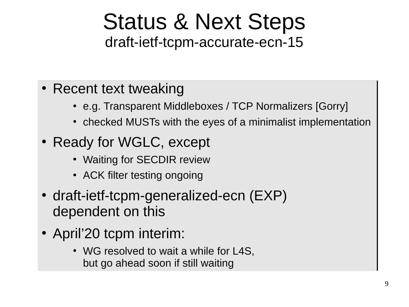#### Status & Next Steps draft-ietf-tcpm-accurate-ecn-15

#### • Recent text tweaking

- e.g. Transparent Middleboxes / TCP Normalizers [Gorry] e.g. Transparent Middleboxes / TCP Normalizers [Gorry]
- checked MUSTs with the eyes of a minimalist implementation
- Ready for WGLC, except
	- Waiting for SECDIR review
	- ACK filter testing ongoing
- draft-ietf-tcpm-generalized-ecn (EXP) draft-ietf-tcpm-generalized-ecn (EXP) dependent on this dependent on this
- April'20 tcpm interim:
	- WG resolved to wait a while for L4S, but go ahead soon if still waiting but go ahead soon if still waiting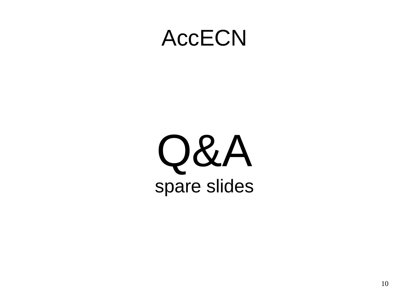#### AccECN